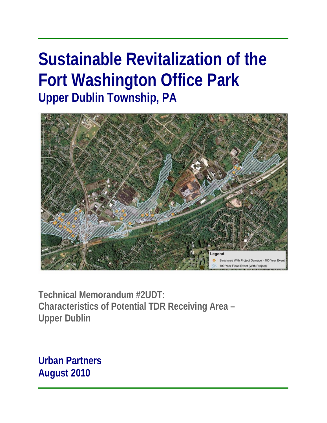# **Sustainable Revitalization of the Fort Washington Office Park Upper Dublin Township, PA**



**Technical Memorandum #2UDT: Characteristics of Potential TDR Receiving Area – Upper Dublin** 

**Urban Partners August 2010**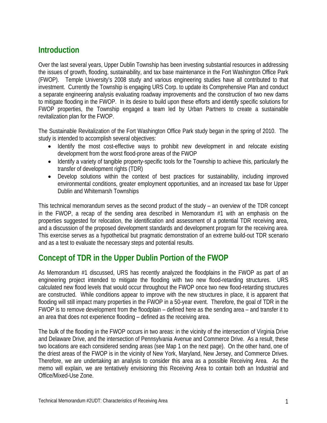# **Introduction**

Over the last several years, Upper Dublin Township has been investing substantial resources in addressing the issues of growth, flooding, sustainability, and tax base maintenance in the Fort Washington Office Park (FWOP). Temple University's 2008 study and various engineering studies have all contributed to that investment. Currently the Township is engaging URS Corp. to update its Comprehensive Plan and conduct a separate engineering analysis evaluating roadway improvements and the construction of two new dams to mitigate flooding in the FWOP. In its desire to build upon these efforts and identify specific solutions for FWOP properties, the Township engaged a team led by Urban Partners to create a sustainable revitalization plan for the FWOP.

The Sustainable Revitalization of the Fort Washington Office Park study began in the spring of 2010. The study is intended to accomplish several objectives:

- Identify the most cost-effective ways to prohibit new development in and relocate existing development from the worst flood-prone areas of the FWOP
- Identify a variety of tangible property-specific tools for the Township to achieve this, particularly the transfer of development rights (TDR)
- Develop solutions within the context of best practices for sustainability, including improved environmental conditions, greater employment opportunities, and an increased tax base for Upper Dublin and Whitemarsh Townships

This technical memorandum serves as the second product of the study – an overview of the TDR concept in the FWOP, a recap of the sending area described in Memorandum #1 with an emphasis on the properties suggested for relocation, the identification and assessment of a potential TDR receiving area, and a discussion of the proposed development standards and development program for the receiving area. This exercise serves as a hypothetical but pragmatic demonstration of an extreme build-out TDR scenario and as a test to evaluate the necessary steps and potential results.

# **Concept of TDR in the Upper Dublin Portion of the FWOP**

As Memorandum #1 discussed, URS has recently analyzed the floodplains in the FWOP as part of an engineering project intended to mitigate the flooding with two new flood-retarding structures. URS calculated new flood levels that would occur throughout the FWOP once two new flood-retarding structures are constructed. While conditions appear to improve with the new structures in place, it is apparent that flooding will still impact many properties in the FWOP in a 50-year event. Therefore, the goal of TDR in the FWOP is to remove development from the floodplain – defined here as the sending area – and transfer it to an area that does not experience flooding – defined as the receiving area.

The bulk of the flooding in the FWOP occurs in two areas: in the vicinity of the intersection of Virginia Drive and Delaware Drive, and the intersection of Pennsylvania Avenue and Commerce Drive. As a result, these two locations are each considered sending areas (see Map 1 on the next page). On the other hand, one of the driest areas of the FWOP is in the vicinity of New York, Maryland, New Jersey, and Commerce Drives. Therefore, we are undertaking an analysis to consider this area as a possible Receiving Area. As the memo will explain, we are tentatively envisioning this Receiving Area to contain both an Industrial and Office/Mixed-Use Zone.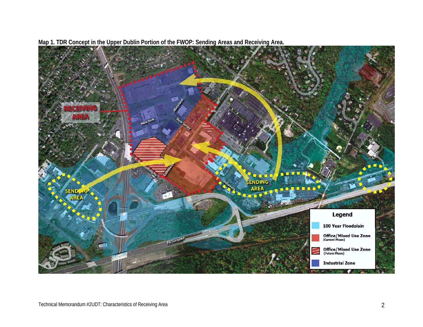

**Map 1. TDR Concept in the Upper Dublin Portion of the FWOP: Sending Areas and Receiving Area.**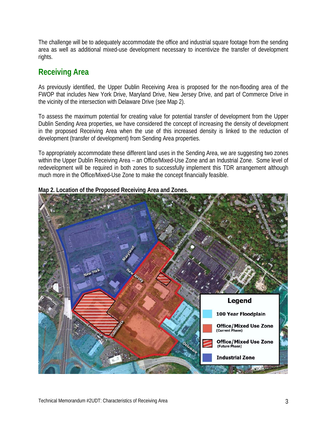The challenge will be to adequately accommodate the office and industrial square footage from the sending area as well as additional mixed-use development necessary to incentivize the transfer of development rights.

# **Receiving Area**

As previously identified, the Upper Dublin Receiving Area is proposed for the non-flooding area of the FWOP that includes New York Drive, Maryland Drive, New Jersey Drive, and part of Commerce Drive in the vicinity of the intersection with Delaware Drive (see Map 2).

To assess the maximum potential for creating value for potential transfer of development from the Upper Dublin Sending Area properties, we have considered the concept of increasing the density of development in the proposed Receiving Area when the use of this increased density is linked to the reduction of development (transfer of development) from Sending Area properties.

To appropriately accommodate these different land uses in the Sending Area, we are suggesting two zones within the Upper Dublin Receiving Area – an Office/Mixed-Use Zone and an Industrial Zone. Some level of redevelopment will be required in both zones to successfully implement this TDR arrangement although much more in the Office/Mixed-Use Zone to make the concept financially feasible.



# **Map 2. Location of the Proposed Receiving Area and Zones.**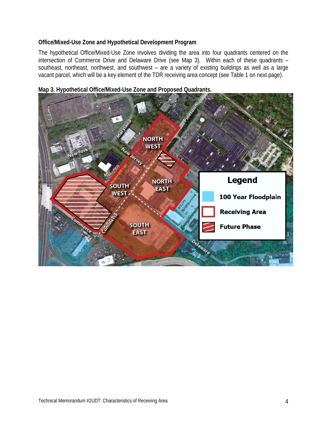# **Office/Mixed-Use Zone and Hypothetical Development Program**

The hypothetical Office/Mixed-Use Zone involves dividing the area into four quadrants centered on the intersection of Commerce Drive and Delaware Drive (see Map 3). Within each of these quadrants – southeast, northeast, northwest, and southwest – are a variety of existing buildings as well as a large vacant parcel, which will be a key element of the TDR receiving area concept (see Table 1 on next page).



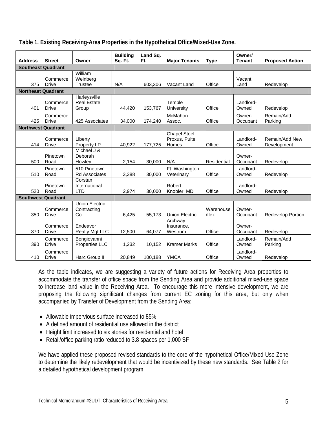|                           |                           |                                    | <b>Building</b> | Land Sq. |                        |             | Owner/         |                        |
|---------------------------|---------------------------|------------------------------------|-----------------|----------|------------------------|-------------|----------------|------------------------|
| <b>Address</b>            | <b>Street</b>             | Owner                              | Sq. Ft.         | Ft.      | <b>Major Tenants</b>   | <b>Type</b> | <b>Tenant</b>  | <b>Proposed Action</b> |
| <b>Southeast Quadrant</b> |                           |                                    |                 |          |                        |             |                |                        |
|                           |                           | William                            |                 |          |                        |             |                |                        |
| 375                       | Commerce<br><b>Drive</b>  | Weinberg<br><b>Trustee</b>         | N/A             |          | Vacant Land            | Office      | Vacant<br>Land |                        |
|                           |                           |                                    |                 | 603,306  |                        |             |                | Redevelop              |
| <b>Northeast Quadrant</b> |                           |                                    |                 |          |                        |             |                |                        |
|                           | Commerce                  | Harleysville<br><b>Real Estate</b> |                 |          | Temple                 |             | Landlord-      |                        |
| 401                       | <b>Drive</b>              | Group                              | 44,420          | 153,767  | University             | Office      | Owned          | Redevelop              |
|                           |                           |                                    |                 |          |                        |             |                |                        |
|                           | Commerce                  |                                    |                 |          | McMahon                |             | Owner-         | Remain/Add             |
| 425                       | Drive                     | 425 Associates                     | 34,000          | 174,240  | Assoc.                 | Office      | Occupant       | Parking                |
| <b>Northwest Quadrant</b> |                           |                                    |                 |          |                        |             |                |                        |
|                           |                           |                                    |                 |          | Chapel Steel,          |             |                |                        |
| 414                       | Commerce                  | Liberty                            | 40,922          | 177,725  | Proxus, Pulte<br>Homes | Office      | Landlord-      | Remain/Add New         |
|                           | <b>Drive</b>              | Property LP<br>Michael J &         |                 |          |                        |             | Owned          | Development            |
|                           | Pinetown                  | Deborah                            |                 |          |                        |             | Owner-         |                        |
| 500                       | Road                      | Howley                             | 2,154           | 30,000   | N/A                    | Residential | Occupant       | Redevelop              |
|                           | Pinetown                  | 510 Pinetown                       |                 |          | Ft. Washington         |             | Landlord-      |                        |
| 510                       | Road                      | <b>Rd Associates</b>               | 3,388           | 30,000   | Veterinary             | Office      | Owned          | Redevelop              |
|                           |                           | Corstan                            |                 |          |                        |             |                |                        |
|                           | Pinetown                  | International                      |                 |          | Robert                 |             | Landlord-      |                        |
| 520                       | Road                      | LTD                                | 2,974           | 30.000   | Knobler, MD            | Office      | Owned          | Redevelop              |
|                           | <b>Southwest Quadrant</b> |                                    |                 |          |                        |             |                |                        |
|                           |                           | <b>Union Electric</b>              |                 |          |                        |             |                |                        |
|                           | Commerce                  | Contracting                        |                 |          |                        | Warehouse   | Owner-         |                        |
| 350                       | <b>Drive</b>              | Co.                                | 6,425           | 55,173   | <b>Union Electric</b>  | /flex       | Occupant       | Redevelop Portion      |
|                           |                           |                                    |                 |          | Archway                |             |                |                        |
|                           | Commerce                  | Endeavor                           |                 |          | Insurance,             |             | Owner-         |                        |
| 370                       | <b>Drive</b>              | <b>Realty Mgt LLC</b>              | 12,500          | 64,077   | Westrum                | Office      | Occupant       | Redevelop              |
|                           | Commerce                  | Bongiovanni                        |                 |          |                        |             | Landlord-      | Remain/Add             |
| 390                       | <b>Drive</b>              | Properties LLC                     | 1,232           | 10,152   | <b>Kramer Marks</b>    | Office      | Owned          | Parking                |
|                           | Commerce                  |                                    |                 |          |                        |             | Landlord-      |                        |
| 410                       | Drive                     | Harc Group II                      | 20.849          | 100,188  | <b>YMCA</b>            | Office      | Owned          | Redevelop              |

**Table 1. Existing Receiving-Area Properties in the Hypothetical Office/Mixed-Use Zone.**

As the table indicates, we are suggesting a variety of future actions for Receiving Area properties to accommodate the transfer of office space from the Sending Area and provide additional mixed-use space to increase land value in the Receiving Area. To encourage this more intensive development, we are proposing the following significant changes from current EC zoning for this area, but only when accompanied by Transfer of Development from the Sending Area:

- Allowable impervious surface increased to 85%
- A defined amount of residential use allowed in the district
- Height limit increased to six stories for residential and hotel
- Retail/office parking ratio reduced to 3.8 spaces per 1,000 SF

We have applied these proposed revised standards to the core of the hypothetical Office/Mixed-Use Zone to determine the likely redevelopment that would be incentivized by these new standards. See Table 2 for a detailed hypothetical development program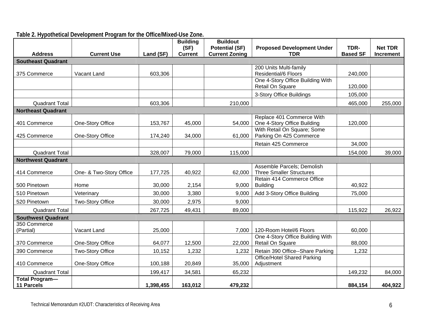|                                     |                         |           | <b>Building</b><br>(SF) | <b>Buildout</b><br><b>Potential (SF)</b> | <b>Proposed Development Under</b>                             | TDR-            | <b>Net TDR</b>   |
|-------------------------------------|-------------------------|-----------|-------------------------|------------------------------------------|---------------------------------------------------------------|-----------------|------------------|
| <b>Address</b>                      | <b>Current Use</b>      | Land (SF) | <b>Current</b>          | <b>Current Zoning</b>                    | <b>TDR</b>                                                    | <b>Based SF</b> | <b>Increment</b> |
| <b>Southeast Quadrant</b>           |                         |           |                         |                                          |                                                               |                 |                  |
| 375 Commerce                        | Vacant Land             | 603,306   |                         |                                          | 200 Units Multi-family<br><b>Residential/6 Floors</b>         | 240,000         |                  |
|                                     |                         |           |                         |                                          | One 4-Story Office Building With<br>Retail On Square          | 120,000         |                  |
|                                     |                         |           |                         |                                          | 3-Story Office Buildings                                      | 105,000         |                  |
| <b>Quadrant Total</b>               |                         | 603,306   |                         | 210,000                                  |                                                               | 465,000         | 255,000          |
| <b>Northeast Quadrant</b>           |                         |           |                         |                                          |                                                               |                 |                  |
| 401 Commerce                        | One-Story Office        | 153,767   | 45,000                  | 54,000                                   | Replace 401 Commerce With<br>One 4-Story Office Building      | 120,000         |                  |
| 425 Commerce                        | One-Story Office        | 174,240   | 34,000                  | 61,000                                   | With Retail On Square; Some<br>Parking On 425 Commerce        |                 |                  |
|                                     |                         |           |                         |                                          | Retain 425 Commerce                                           | 34,000          |                  |
| <b>Quadrant Total</b>               |                         | 328,007   | 79,000                  | 115,000                                  |                                                               | 154,000         | 39,000           |
| <b>Northwest Quadrant</b>           |                         |           |                         |                                          |                                                               |                 |                  |
| 414 Commerce                        | One- & Two-Story Office | 177,725   | 40,922                  | 62,000                                   | Assemble Parcels; Demolish<br><b>Three Smaller Structures</b> |                 |                  |
| 500 Pinetown                        | Home                    | 30,000    | 2,154                   | 9,000                                    | Retain 414 Commerce Office<br><b>Building</b>                 | 40,922          |                  |
| 510 Pinetown                        | Veterinary              | 30,000    | 3,380                   | 9,000                                    | Add 3-Story Office Building                                   | 75,000          |                  |
| 520 Pinetown                        | <b>Two-Story Office</b> | 30,000    | 2,975                   | 9,000                                    |                                                               |                 |                  |
| <b>Quadrant Total</b>               |                         | 267,725   | 49,431                  | 89,000                                   |                                                               | 115,922         | 26,922           |
| <b>Southwest Quadrant</b>           |                         |           |                         |                                          |                                                               |                 |                  |
| 350 Commerce<br>(Partial)           | Vacant Land             | 25,000    |                         | 7,000                                    | 120-Room Hotel/6 Floors                                       | 60,000          |                  |
| 370 Commerce                        | One-Story Office        | 64,077    | 12,500                  | 22,000                                   | One 4-Story Office Building With<br>Retail On Square          | 88,000          |                  |
| 390 Commerce                        | Two-Story Office        | 10,152    | 1,232                   | 1,232                                    | Retain 390 Office--Share Parking                              | 1,232           |                  |
| 410 Commerce                        | One-Story Office        | 100,188   | 20,849                  | 35,000                                   | <b>Office/Hotel Shared Parking</b><br>Adjustment              |                 |                  |
| <b>Quadrant Total</b>               |                         | 199,417   | 34,581                  | 65,232                                   |                                                               | 149,232         | 84,000           |
| Total Program-<br><b>11 Parcels</b> |                         | 1,398,455 | 163,012                 | 479,232                                  |                                                               | 884,154         | 404,922          |

# **Table 2. Hypothetical Development Program for the Office/Mixed-Use Zone.**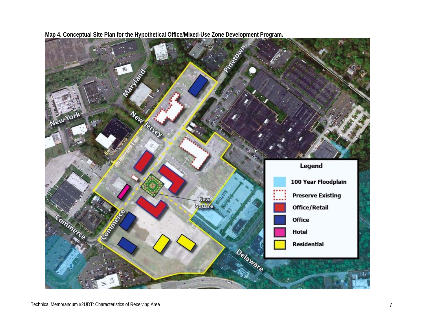

**Map 4. Conceptual Site Plan for the Hypothetical Office/Mixed-Use Zone Development Program.**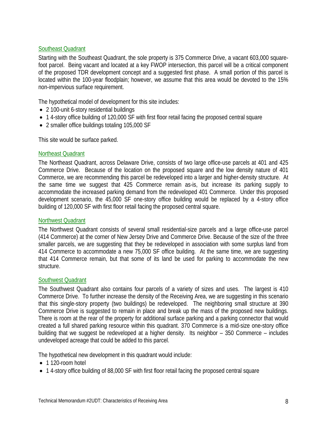# Southeast Quadrant

Starting with the Southeast Quadrant, the sole property is 375 Commerce Drive, a vacant 603,000 squarefoot parcel. Being vacant and located at a key FWOP intersection, this parcel will be a critical component of the proposed TDR development concept and a suggested first phase. A small portion of this parcel is located within the 100-year floodplain; however, we assume that this area would be devoted to the 15% non-impervious surface requirement.

The hypothetical model of development for this site includes:

- 2 100-unit 6-story residential buildings
- 14-story office building of 120,000 SF with first floor retail facing the proposed central square
- 2 smaller office buildings totaling 105,000 SF

This site would be surface parked.

#### Northeast Quadrant

The Northeast Quadrant, across Delaware Drive, consists of two large office-use parcels at 401 and 425 Commerce Drive. Because of the location on the proposed square and the low density nature of 401 Commerce, we are recommending this parcel be redeveloped into a larger and higher-density structure. At the same time we suggest that 425 Commerce remain as-is, but increase its parking supply to accommodate the increased parking demand from the redeveloped 401 Commerce. Under this proposed development scenario, the 45,000 SF one-story office building would be replaced by a 4-story office building of 120,000 SF with first floor retail facing the proposed central square.

#### Northwest Quadrant

The Northwest Quadrant consists of several small residential-size parcels and a large office-use parcel (414 Commerce) at the corner of New Jersey Drive and Commerce Drive. Because of the size of the three smaller parcels, we are suggesting that they be redeveloped in association with some surplus land from 414 Commerce to accommodate a new 75,000 SF office building. At the same time, we are suggesting that 414 Commerce remain, but that some of its land be used for parking to accommodate the new structure.

#### Southwest Quadrant

The Southwest Quadrant also contains four parcels of a variety of sizes and uses. The largest is 410 Commerce Drive. To further increase the density of the Receiving Area, we are suggesting in this scenario that this single-story property (two buildings) be redeveloped. The neighboring small structure at 390 Commerce Drive is suggested to remain in place and break up the mass of the proposed new buildings. There is room at the rear of the property for additional surface parking and a parking connector that would created a full shared parking resource within this quadrant. 370 Commerce is a mid-size one-story office building that we suggest be redeveloped at a higher density. Its neighbor – 350 Commerce – includes undeveloped acreage that could be added to this parcel.

The hypothetical new development in this quadrant would include:

- 1 120-room hotel
- 14-story office building of 88,000 SF with first floor retail facing the proposed central square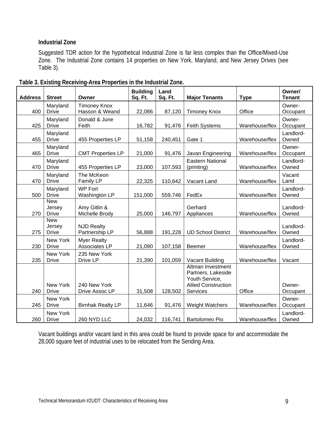# **Industrial Zone**

Suggested TDR action for the hypothetical Industrial Zone is far less complex than the Office/Mixed-Use Zone. The Industrial Zone contains 14 properties on New York, Maryland, and New Jersey Drives (see Table 3).

| <b>Address</b> | <b>Street</b>                        | Owner                                 | <b>Building</b><br>Sq. Ft. | Land<br>Sq. Ft. | <b>Major Tenants</b>                                                                                | <b>Type</b>    | Owner/<br><b>Tenant</b> |
|----------------|--------------------------------------|---------------------------------------|----------------------------|-----------------|-----------------------------------------------------------------------------------------------------|----------------|-------------------------|
| 400            | Maryland<br><b>Drive</b>             | <b>Timoney Knox</b><br>Hasson & Weand | 22,086                     | 87,120          | <b>Timoney Knox</b>                                                                                 | Office         | Owner-<br>Occupant      |
| 425            | Maryland<br><b>Drive</b>             | Donald & June<br>Feith                | 16,782                     | 91,476          | <b>Feith Systems</b>                                                                                | Warehouse/flex | Owner-<br>Occupant      |
| 455            | Maryland<br><b>Drive</b>             | 455 Properties LP                     | 51,158                     | 240,451         | Gate 1                                                                                              | Warehouse/flex | Landlord-<br>Owned      |
| 465            | Maryland<br><b>Drive</b>             | <b>CMT Properties LP</b>              | 21,000                     | 91,476          | Javan Engineering                                                                                   | Warehouse/flex | Owner-<br>Occupant      |
| 470            | Maryland<br><b>Drive</b>             | 455 Properties LP                     | 23,000                     | 107,593         | <b>Eastern National</b><br>(printing)                                                               | Warehouse/flex | Landlord-<br>Owned      |
| 470            | Maryland<br><b>Drive</b>             | The McKeon<br>Family LP               | 22,325                     | 110,642         | Vacant Land                                                                                         | Warehouse/flex | Vacant<br>Land          |
| 500            | Maryland<br><b>Drive</b>             | <b>WP Fort</b><br>Washington LP       | 151,000                    | 559,746         | FedEx                                                                                               | Warehouse/flex | Landlord-<br>Owned      |
| 270            | <b>New</b><br>Jersey<br><b>Drive</b> | Amy Gitlin &<br>Michelle Brody        | 25,000                     | 146,797         | Gerhard<br>Appliances                                                                               | Warehouse/flex | Landlord-<br>Owned      |
| 275            | <b>New</b><br>Jersey<br><b>Drive</b> | <b>NJD Realty</b><br>Partnership LP   | 56,888                     | 191,228         | <b>UD School District</b>                                                                           | Warehouse/flex | Landlord-<br>Owned      |
| 230            | New York<br><b>Drive</b>             | <b>Myer Realty</b><br>Associates LP   | 21,090                     | 107,158         | Beemer                                                                                              | Warehouse/flex | Landlord-<br>Owned      |
| 235            | New York<br><b>Drive</b>             | 235 New York<br>Drive LP              | 21,390                     | 101,059         | Vacant Building                                                                                     | Warehouse/flex | Vacant                  |
| 240            | New York<br><b>Drive</b>             | 240 New York<br>Drive Assoc LP        | 31,508                     | 128,502         | Altman Investment<br>Partners, Lakeside<br>Youth Service,<br><b>Allied Construction</b><br>Services | Office         | Owner-<br>Occupant      |
| 245            | New York<br><b>Drive</b>             | <b>Birnhak Realty LP</b>              | 11,646                     | 91,476          | <b>Weight Watchers</b>                                                                              | Warehouse/flex | Owner-<br>Occupant      |
| 260            | New York<br><b>Drive</b>             | 260 NYD LLC                           | 24,032                     | 116,741         | Bartolomeo Pio                                                                                      | Warehouse/flex | Landlord-<br>Owned      |

|  | Table 3. Existing Receiving-Area Properties in the Industrial Zone. |  |  |  |
|--|---------------------------------------------------------------------|--|--|--|
|  |                                                                     |  |  |  |
|  |                                                                     |  |  |  |

Vacant buildings and/or vacant land in this area could be found to provide space for and accommodate the 28,000 square feet of industrial uses to be relocated from the Sending Area.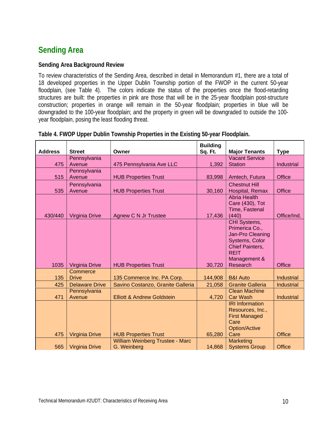# **Sending Area**

# **Sending Area Background Review**

To review characteristics of the Sending Area, described in detail in Memorandum #1, there are a total of 18 developed properties in the Upper Dublin Township portion of the FWOP in the current 50-year floodplain, (see Table 4). The colors indicate the status of the properties once the flood-retarding structures are built: the properties in pink are those that will be in the 25-year floodplain post-structure construction; properties in orange will remain in the 50-year floodplain; properties in blue will be downgraded to the 100-year floodplain; and the property in green will be downgraded to outside the 100 year floodplain, posing the least flooding threat.

| <b>Address</b> | <b>Street</b>         | Owner                                 | <b>Building</b><br>Sq. Ft. | <b>Major Tenants</b>                     | <b>Type</b>       |
|----------------|-----------------------|---------------------------------------|----------------------------|------------------------------------------|-------------------|
|                | Pennsylvania          |                                       |                            | <b>Vacant Service</b>                    |                   |
| 475            | Avenue                | 475 Pennsylvania Ave LLC              | 1,392                      | <b>Station</b>                           | <b>Industrial</b> |
|                | Pennsylvania          |                                       |                            |                                          |                   |
| 515            | Avenue                | <b>HUB Properties Trust</b>           | 83,998                     | Amtech, Futura                           | Office            |
|                | Pennsylvania          |                                       |                            | <b>Chestnut Hill</b>                     |                   |
| 535            | Avenue                | <b>HUB Properties Trust</b>           | 30,160                     | Hospital, Remax                          | <b>Office</b>     |
|                |                       |                                       |                            | <b>Abria Health</b>                      |                   |
|                |                       |                                       |                            | Care (430), Tot                          |                   |
| 430/440        | Virginia Drive        | Agnew C N Jr Trustee                  | 17,436                     | Time, Fastenal<br>(440)                  | Office/Ind.       |
|                |                       |                                       |                            | CHI Systems,                             |                   |
|                |                       |                                       |                            | Primerica Co.,                           |                   |
|                |                       |                                       |                            | Jan-Pro Cleaning                         |                   |
|                |                       |                                       |                            | Systems, Color                           |                   |
|                |                       |                                       |                            | <b>Chief Painters,</b>                   |                   |
|                |                       |                                       |                            | <b>REIT</b><br>Management &              |                   |
| 1035           | Virginia Drive        | <b>HUB Properties Trust</b>           | 30,720                     | Research                                 | <b>Office</b>     |
|                | Commerce              |                                       |                            |                                          |                   |
| 135            | <b>Drive</b>          | 135 Commerce Inc. PA Corp.            | 144,908                    | <b>B&amp;I Auto</b>                      | <b>Industrial</b> |
| 425            | <b>Delaware Drive</b> | Savino Costanzo, Granite Galleria     | 21,058                     | <b>Granite Galleria</b>                  | <b>Industrial</b> |
|                | Pennsylvania          |                                       |                            | <b>Clean Machine</b>                     |                   |
| 471            | Avenue                | <b>Elliott &amp; Andrew Goldstein</b> | 4,720                      | <b>Car Wash</b>                          | Industrial        |
|                |                       |                                       |                            | <b>IRI Information</b>                   |                   |
|                |                       |                                       |                            | Resources, Inc.,<br><b>First Managed</b> |                   |
|                |                       |                                       |                            | Care                                     |                   |
|                |                       |                                       |                            | <b>Option/Active</b>                     |                   |
| 475            | <b>Virginia Drive</b> | <b>HUB Properties Trust</b>           | 65,280                     | Care                                     | <b>Office</b>     |
|                |                       | William Weinberg Trustee - Marc       |                            | Marketing                                |                   |
| 565            | <b>Virginia Drive</b> | G. Weinberg                           | 14,868                     | <b>Systems Group</b>                     | <b>Office</b>     |

**Table 4. FWOP Upper Dublin Township Properties in the Existing 50-year Floodplain.**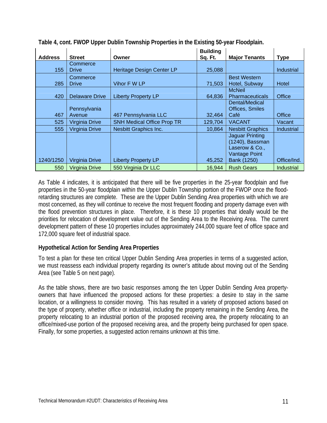|                |                |                                   | <b>Building</b> |                                                                                     |             |
|----------------|----------------|-----------------------------------|-----------------|-------------------------------------------------------------------------------------|-------------|
| <b>Address</b> | <b>Street</b>  | Owner                             | Sq. Ft.         | <b>Major Tenants</b>                                                                | <b>Type</b> |
|                | Commerce       |                                   |                 |                                                                                     |             |
| 155            | <b>Drive</b>   | Heritage Design Center LP         | 25,088          |                                                                                     | Industrial  |
|                | Commerce       |                                   |                 | <b>Best Western</b>                                                                 |             |
| 285            | <b>Drive</b>   | Vihor F W LP                      | 71,503          | Hotel, Subway                                                                       | Hotel       |
|                |                |                                   |                 | <b>McNeil</b>                                                                       |             |
| 420            | Delaware Drive | <b>Liberty Property LP</b>        | 64,836          | <b>Pharmaceuticals</b>                                                              | Office      |
|                |                |                                   |                 | Dental/Medical                                                                      |             |
|                | Pennsylvania   |                                   |                 | Offices, Smiles                                                                     |             |
| 467            | Avenue         | 467 Pennsylvania LLC              | 32,464          | Café                                                                                | Office      |
| 525            | Virginia Drive | <b>SNH Medical Office Prop TR</b> | 129,704         | <b>VACANT</b>                                                                       | Vacant      |
| 555            | Virginia Drive | <b>Nesbitt Graphics Inc.</b>      | 10,864          | <b>Nesbitt Graphics</b>                                                             | Industrial  |
|                |                |                                   |                 | <b>Jaguar Printing</b><br>(1240), Bassman<br>Laserow & Co.,<br><b>Vantage Point</b> |             |
| 1240/1250      | Virginia Drive | <b>Liberty Property LP</b>        | 45,252          | Bank (1250)                                                                         | Office/Ind. |
| 550            | Virginia Drive | 550 Virginia Dr LLC               | 16,944          | <b>Rush Gears</b>                                                                   | Industrial  |

**Table 4, cont. FWOP Upper Dublin Township Properties in the Existing 50-year Floodplain.** 

As Table 4 indicates, it is anticipated that there will be five properties in the 25-year floodplain and five properties in the 50-year floodplain within the Upper Dublin Township portion of the FWOP once the floodretarding structures are complete. These are the Upper Dublin Sending Area properties with which we are most concerned, as they will continue to receive the most frequent flooding and property damage even with the flood prevention structures in place. Therefore, it is these 10 properties that ideally would be the priorities for relocation of development value out of the Sending Area to the Receiving Area. The current development pattern of these 10 properties includes approximately 244,000 square feet of office space and 172,000 square feet of industrial space.

# **Hypothetical Action for Sending Area Properties**

To test a plan for these ten critical Upper Dublin Sending Area properties in terms of a suggested action, we must reassess each individual property regarding its owner's attitude about moving out of the Sending Area (see Table 5 on next page).

As the table shows, there are two basic responses among the ten Upper Dublin Sending Area propertyowners that have influenced the proposed actions for these properties: a desire to stay in the same location, or a willingness to consider moving. This has resulted in a variety of proposed actions based on the type of property, whether office or industrial, including the property remaining in the Sending Area, the property relocating to an industrial portion of the proposed receiving area, the property relocating to an office/mixed-use portion of the proposed receiving area, and the property being purchased for open space. Finally, for some properties, a suggested action remains unknown at this time.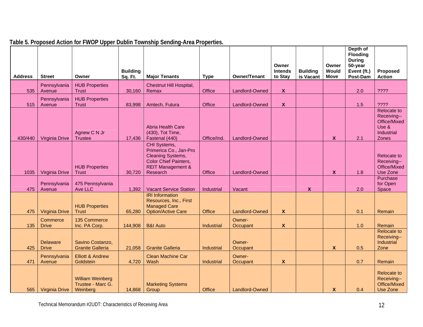| <b>Address</b> | <b>Street</b>                   | Owner                                                    | <b>Building</b><br>Sq. Ft. | <b>Major Tenants</b>                                                                                                                    | <b>Type</b>              | Owner/Tenant                   | Owner<br><b>Intends</b><br>to Stay | <b>Building</b><br>is Vacant | Owner<br>Would<br><b>Move</b> | Depth of<br><b>Flooding</b><br><b>During</b><br>50-year<br>Event (ft.)<br>Post-Dam | Proposed<br><b>Action</b>                                                            |
|----------------|---------------------------------|----------------------------------------------------------|----------------------------|-----------------------------------------------------------------------------------------------------------------------------------------|--------------------------|--------------------------------|------------------------------------|------------------------------|-------------------------------|------------------------------------------------------------------------------------|--------------------------------------------------------------------------------------|
|                | Pennsylvania                    | <b>HUB Properties</b>                                    |                            | Chestnut Hill Hospital,                                                                                                                 |                          |                                |                                    |                              |                               |                                                                                    |                                                                                      |
| 535            | Avenue                          | Trust                                                    | 30,160                     | Remax                                                                                                                                   | Office                   | Landlord-Owned                 | $\boldsymbol{X}$                   |                              |                               | 2.0                                                                                | ????                                                                                 |
| 515            | Pennsylvania<br>Avenue          | <b>HUB Properties</b><br><b>Trust</b>                    | 83,998                     | Amtech, Futura                                                                                                                          | Office                   | Landlord-Owned                 | $\boldsymbol{X}$                   |                              |                               | 1.5                                                                                | ????                                                                                 |
| 430/440        | Virginia Drive                  | Agnew C N Jr<br><b>Trustee</b>                           | 17,436                     | Abria Health Care<br>(430), Tot Time,<br>Fastenal (440)                                                                                 | Office/Ind.              | Landlord-Owned                 |                                    |                              | X                             | 2.1                                                                                | <b>Relocate to</b><br>Receiving--<br>Office/Mixed<br>Use $\&$<br>Industrial<br>Zones |
| 1035           | Virginia Drive                  | <b>HUB Properties</b><br><b>Trust</b>                    | 30,720                     | CHI Systems,<br>Primerica Co., Jan-Pro<br>Cleaning Systems,<br><b>Color Chief Painters,</b><br><b>REIT Management &amp;</b><br>Research | Office                   | Landlord-Owned                 |                                    |                              | X                             | 1.8                                                                                | <b>Relocate to</b><br>Receiving--<br>Office/Mixed<br>Use Zone                        |
|                | Pennsylvania                    | 475 Pennsylvania                                         |                            |                                                                                                                                         |                          |                                |                                    |                              |                               |                                                                                    | Purchase<br>for Open                                                                 |
| 475            | Avenue                          | Ave LLC                                                  | 1,392                      | <b>Vacant Service Station</b>                                                                                                           | Industrial               | Vacant                         |                                    | X                            |                               | 2.0                                                                                | Space                                                                                |
| 475            | Virginia Drive                  | <b>HUB Properties</b><br>Trust                           | 65,280                     | <b>IRI</b> Information<br>Resources, Inc., First<br><b>Managed Care</b><br><b>Option/Active Care</b>                                    | Office                   | Landlord-Owned                 | X                                  |                              |                               | 0.1                                                                                | Remain                                                                               |
| 135            | Commerce<br><b>Drive</b>        | 135 Commerce<br>Inc. PA Corp.                            |                            | <b>B&amp;I Auto</b>                                                                                                                     |                          | Owner-                         |                                    |                              |                               |                                                                                    | Remain                                                                               |
| 425            | <b>Delaware</b><br><b>Drive</b> | Savino Costanzo,<br><b>Granite Galleria</b>              | 144,908<br>21,058          | <b>Granite Galleria</b>                                                                                                                 | Industrial<br>Industrial | Occupant<br>Owner-<br>Occupant | X                                  |                              | X                             | 1.0<br>0.5                                                                         | <b>Relocate to</b><br>Receiving--<br>Industrial<br>Zone                              |
|                | Pennsylvania                    | <b>Elliott &amp; Andrew</b>                              |                            | <b>Clean Machine Car</b>                                                                                                                |                          | Owner-                         |                                    |                              |                               |                                                                                    |                                                                                      |
| 471            | Avenue                          | Goldstein                                                | 4,720                      | Wash                                                                                                                                    | Industrial               | Occupant                       | X                                  |                              |                               | 0.7                                                                                | Remain                                                                               |
| 565            | Virginia Drive                  | <b>William Weinberg</b><br>Trustee - Marc G.<br>Weinberg | 14,868                     | <b>Marketing Systems</b><br>Group                                                                                                       | Office                   | Landlord-Owned                 |                                    |                              | X                             | 0.4                                                                                | <b>Relocate to</b><br>Receiving--<br>Office/Mixed<br>Use Zone                        |

**Table 5. Proposed Action for FWOP Upper Dublin Township Sending-Area Properties.**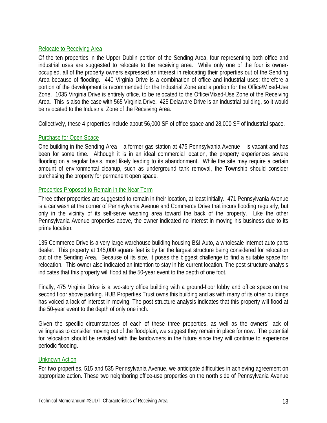#### Relocate to Receiving Area

Of the ten properties in the Upper Dublin portion of the Sending Area, four representing both office and industrial uses are suggested to relocate to the receiving area. While only one of the four is owneroccupied, all of the property owners expressed an interest in relocating their properties out of the Sending Area because of flooding. 440 Virginia Drive is a combination of office and industrial uses; therefore a portion of the development is recommended for the Industrial Zone and a portion for the Office/Mixed-Use Zone. 1035 Virginia Drive is entirely office, to be relocated to the Office/Mixed-Use Zone of the Receiving Area. This is also the case with 565 Virginia Drive. 425 Delaware Drive is an industrial building, so it would be relocated to the Industrial Zone of the Receiving Area.

Collectively, these 4 properties include about 56,000 SF of office space and 28,000 SF of industrial space.

# Purchase for Open Space

One building in the Sending Area – a former gas station at 475 Pennsylvania Avenue – is vacant and has been for some time. Although it is in an ideal commercial location, the property experiences severe flooding on a regular basis, most likely leading to its abandonment. While the site may require a certain amount of environmental cleanup, such as underground tank removal, the Township should consider purchasing the property for permanent open space.

#### Properties Proposed to Remain in the Near Term

Three other properties are suggested to remain in their location, at least initially. 471 Pennsylvania Avenue is a car wash at the corner of Pennsylvania Avenue and Commerce Drive that incurs flooding regularly, but only in the vicinity of its self-serve washing area toward the back of the property. Like the other Pennsylvania Avenue properties above, the owner indicated no interest in moving his business due to its prime location.

135 Commerce Drive is a very large warehouse building housing B&I Auto, a wholesale internet auto parts dealer. This property at 145,000 square feet is by far the largest structure being considered for relocation out of the Sending Area. Because of its size, it poses the biggest challenge to find a suitable space for relocation. This owner also indicated an intention to stay in his current location. The post-structure analysis indicates that this property will flood at the 50-year event to the depth of one foot.

Finally, 475 Virginia Drive is a two-story office building with a ground-floor lobby and office space on the second floor above parking. HUB Properties Trust owns this building and as with many of its other buildings has voiced a lack of interest in moving. The post-structure analysis indicates that this property will flood at the 50-year event to the depth of only one inch.

Given the specific circumstances of each of these three properties, as well as the owners' lack of willingness to consider moving out of the floodplain, we suggest they remain in place for now. The potential for relocation should be revisited with the landowners in the future since they will continue to experience periodic flooding.

# Unknown Action

For two properties, 515 and 535 Pennsylvania Avenue, we anticipate difficulties in achieving agreement on appropriate action. These two neighboring office-use properties on the north side of Pennsylvania Avenue